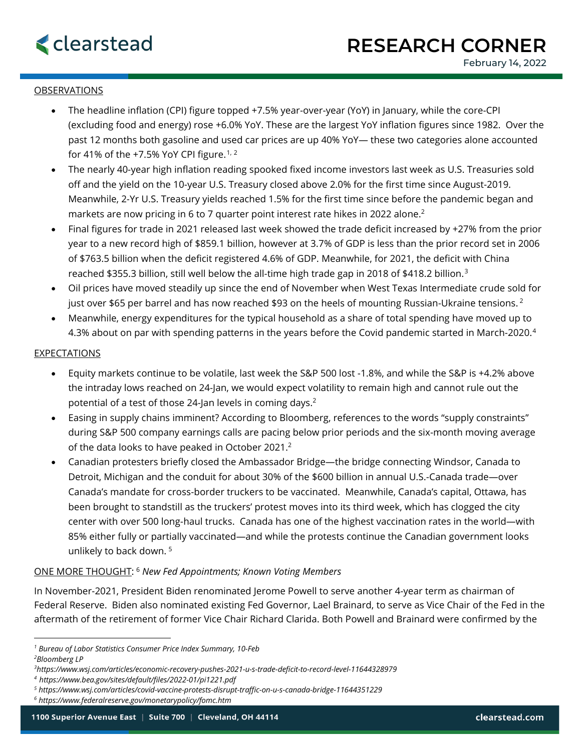

## OBSERVATIONS

- The headline inflation (CPI) figure topped +7.5% year-over-year (YoY) in January, while the core-CPI (excluding food and energy) rose +6.0% YoY. These are the largest YoY inflation figures since 1982. Over the past 12 months both gasoline and used car prices are up 40% YoY— these two categories alone accounted for 41% of the +7.5% YoY CPI figure.<sup>[1,](#page-0-0) [2](#page-0-1)</sup>
- The nearly 40-year high inflation reading spooked fixed income investors last week as U.S. Treasuries sold off and the yield on the 10-year U.S. Treasury closed above 2.0% for the first time since August-2019. Meanwhile, 2-Yr U.S. Treasury yields reached 1.5% for the first time since before the pandemic began and markets are now pricing in 6 to 7 quarter point interest rate hikes in 2022 alone.<sup>2</sup>
- Final figures for trade in 2021 released last week showed the trade deficit increased by +27% from the prior year to a new record high of \$859.1 billion, however at 3.7% of GDP is less than the prior record set in 2006 of \$763.5 billion when the deficit registered 4.6% of GDP. Meanwhile, for 2021, the deficit with China reached \$355.3 billion, still well below the all-time high trade gap in 2018 of \$418.2 billion.[3](#page-0-2)
- Oil prices have moved steadily up since the end of November when West Texas Intermediate crude sold for just over \$65 per barrel and has now reached \$93 on the heels of mounting Russian-Ukraine tensions.<sup>2</sup>
- Meanwhile, energy expenditures for the typical household as a share of total spending have moved up to 4.3% about on par with spending patterns in the years before the Covid pandemic started in March-2020.<sup>4</sup>

### **EXPECTATIONS**

- Equity markets continue to be volatile, last week the S&P 500 lost -1.8%, and while the S&P is +4.2% above the intraday lows reached on 24-Jan, we would expect volatility to remain high and cannot rule out the potential of a test of those 24-Jan levels in coming days.2
- Easing in supply chains imminent? According to Bloomberg, references to the words "supply constraints" during S&P 500 company earnings calls are pacing below prior periods and the six-month moving average of the data looks to have peaked in October 2021.<sup>2</sup>
- Canadian protesters briefly closed the Ambassador Bridge—the bridge connecting Windsor, Canada to Detroit, Michigan and the conduit for about 30% of the \$600 billion in annual U.S.-Canada trade—over Canada's mandate for cross-border truckers to be vaccinated. Meanwhile, Canada's capital, Ottawa, has been brought to standstill as the truckers' protest moves into its third week, which has clogged the city center with over 500 long-haul trucks. Canada has one of the highest vaccination rates in the world—with 85% either fully or partially vaccinated—and while the protests continue the Canadian government looks unlikely to back down. [5](#page-0-4)

# ONE MORE THOUGHT: [6](#page-0-5) *New Fed Appointments; Known Voting Members*

In November-2021, President Biden renominated Jerome Powell to serve another 4-year term as chairman of Federal Reserve. Biden also nominated existing Fed Governor, Lael Brainard, to serve as Vice Chair of the Fed in the aftermath of the retirement of former Vice Chair Richard Clarida. Both Powell and Brainard were confirmed by the

<span id="page-0-1"></span><span id="page-0-0"></span>*<sup>1</sup> Bureau of Labor Statistics Consumer Price Index Summary, 10-Feb 2 Bloomberg LP*

<span id="page-0-2"></span>*<sup>3</sup> https://www.wsj.com/articles/economic-recovery-pushes-2021-u-s-trade-deficit-to-record-level-11644328979*

<span id="page-0-3"></span>*<sup>4</sup> https://www.bea.gov/sites/default/files/2022-01/pi1221.pdf*

<span id="page-0-4"></span>*<sup>5</sup> https://www.wsj.com/articles/covid-vaccine-protests-disrupt-traffic-on-u-s-canada-bridge-11644351229*

<span id="page-0-5"></span>*<sup>6</sup> https://www.federalreserve.gov/monetarypolicy/fomc.htm*